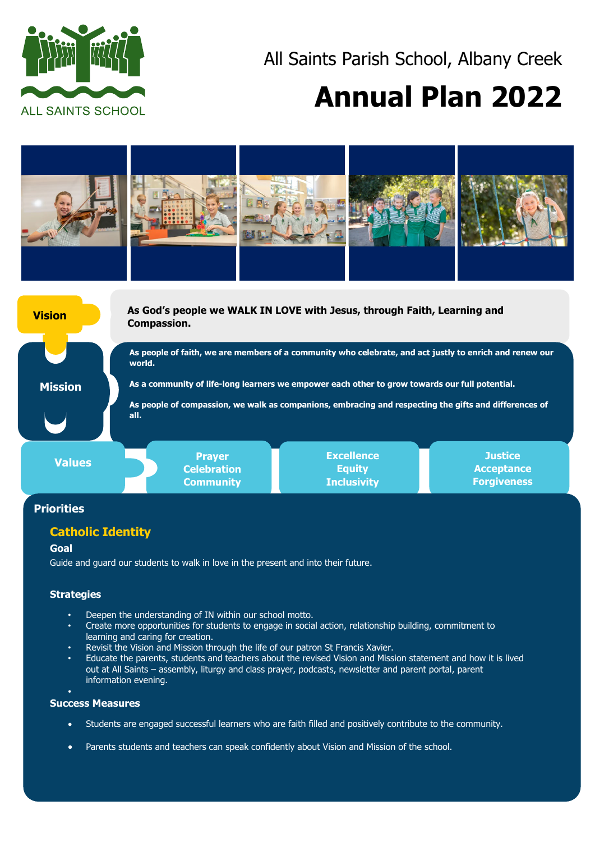

# All Saints Parish School, Albany Creek

# **Annual Plan 2022**



# **Priorities**

# **Catholic Identity**

#### **Goal**

Guide and guard our students to walk in love in the present and into their future.

## **Strategies**

- Deepen the understanding of IN within our school motto.
- Create more opportunities for students to engage in social action, relationship building, commitment to learning and caring for creation.
- Revisit the Vision and Mission through the life of our patron St Francis Xavier.
- Educate the parents, students and teachers about the revised Vision and Mission statement and how it is lived out at All Saints – assembly, liturgy and class prayer, podcasts, newsletter and parent portal, parent information evening.
- •

#### **Success Measures**

- Students are engaged successful learners who are faith filled and positively contribute to the community.
- Parents students and teachers can speak confidently about Vision and Mission of the school.